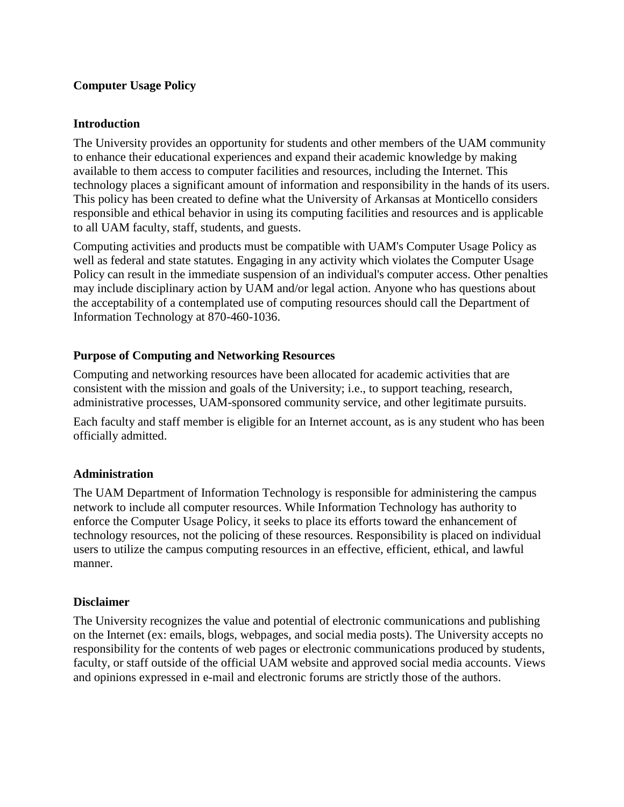#### **Computer Usage Policy**

#### **Introduction**

The University provides an opportunity for students and other members of the UAM community to enhance their educational experiences and expand their academic knowledge by making available to them access to computer facilities and resources, including the Internet. This technology places a significant amount of information and responsibility in the hands of its users. This policy has been created to define what the University of Arkansas at Monticello considers responsible and ethical behavior in using its computing facilities and resources and is applicable to all UAM faculty, staff, students, and guests.

Computing activities and products must be compatible with UAM's Computer Usage Policy as well as federal and state statutes. Engaging in any activity which violates the Computer Usage Policy can result in the immediate suspension of an individual's computer access. Other penalties may include disciplinary action by UAM and/or legal action. Anyone who has questions about the acceptability of a contemplated use of computing resources should call the Department of Information Technology at 870-460-1036.

#### **Purpose of Computing and Networking Resources**

Computing and networking resources have been allocated for academic activities that are consistent with the mission and goals of the University; i.e., to support teaching, research, administrative processes, UAM-sponsored community service, and other legitimate pursuits.

Each faculty and staff member is eligible for an Internet account, as is any student who has been officially admitted.

#### **Administration**

The UAM Department of Information Technology is responsible for administering the campus network to include all computer resources. While Information Technology has authority to enforce the Computer Usage Policy, it seeks to place its efforts toward the enhancement of technology resources, not the policing of these resources. Responsibility is placed on individual users to utilize the campus computing resources in an effective, efficient, ethical, and lawful manner.

#### **Disclaimer**

The University recognizes the value and potential of electronic communications and publishing on the Internet (ex: emails, blogs, webpages, and social media posts). The University accepts no responsibility for the contents of web pages or electronic communications produced by students, faculty, or staff outside of the official UAM website and approved social media accounts. Views and opinions expressed in e-mail and electronic forums are strictly those of the authors.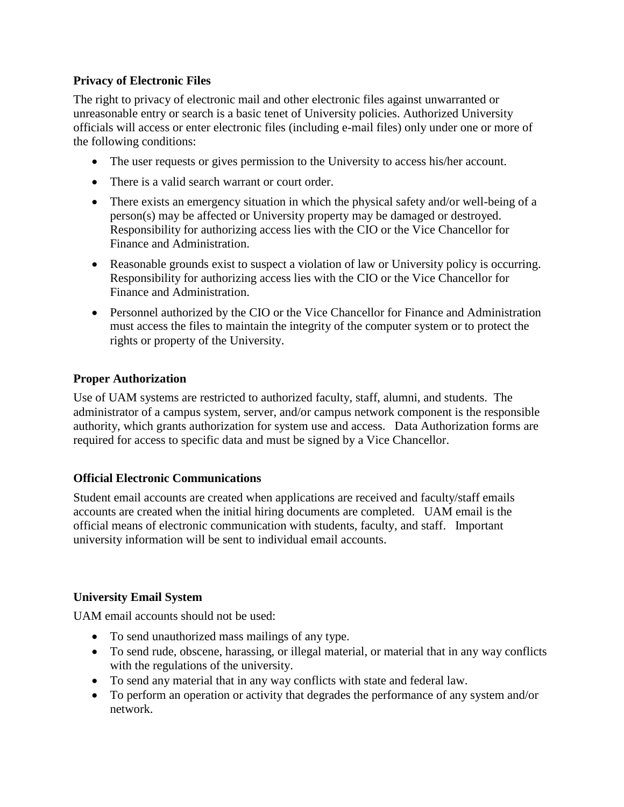## **Privacy of Electronic Files**

The right to privacy of electronic mail and other electronic files against unwarranted or unreasonable entry or search is a basic tenet of University policies. Authorized University officials will access or enter electronic files (including e-mail files) only under one or more of the following conditions:

- The user requests or gives permission to the University to access his/her account.
- There is a valid search warrant or court order.
- There exists an emergency situation in which the physical safety and/or well-being of a person(s) may be affected or University property may be damaged or destroyed. Responsibility for authorizing access lies with the CIO or the Vice Chancellor for Finance and Administration.
- Reasonable grounds exist to suspect a violation of law or University policy is occurring. Responsibility for authorizing access lies with the CIO or the Vice Chancellor for Finance and Administration.
- Personnel authorized by the CIO or the Vice Chancellor for Finance and Administration must access the files to maintain the integrity of the computer system or to protect the rights or property of the University.

### **Proper Authorization**

Use of UAM systems are restricted to authorized faculty, staff, alumni, and students. The administrator of a campus system, server, and/or campus network component is the responsible authority, which grants authorization for system use and access. Data Authorization forms are required for access to specific data and must be signed by a Vice Chancellor.

### **Official Electronic Communications**

Student email accounts are created when applications are received and faculty/staff emails accounts are created when the initial hiring documents are completed. UAM email is the official means of electronic communication with students, faculty, and staff. Important university information will be sent to individual email accounts.

### **University Email System**

UAM email accounts should not be used:

- To send unauthorized mass mailings of any type.
- To send rude, obscene, harassing, or illegal material, or material that in any way conflicts with the regulations of the university.
- To send any material that in any way conflicts with state and federal law.
- To perform an operation or activity that degrades the performance of any system and/or network.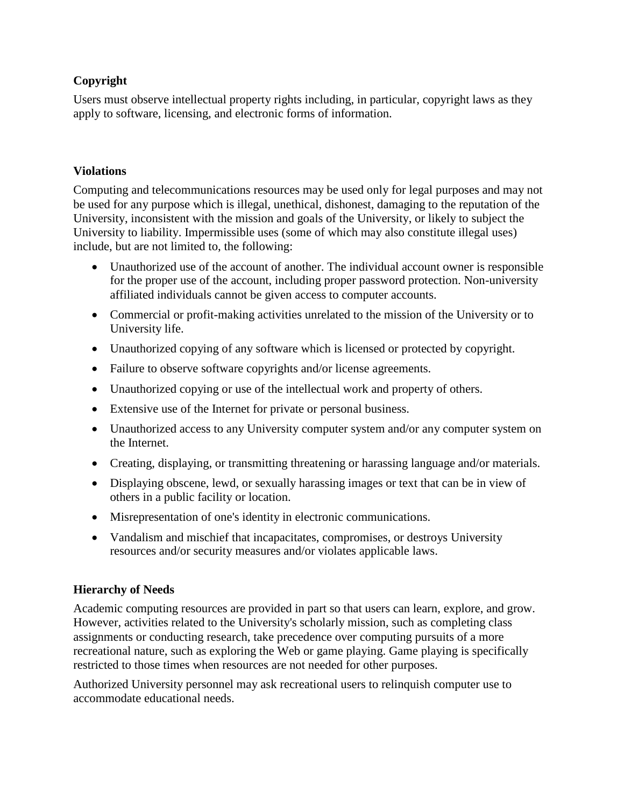# **Copyright**

Users must observe intellectual property rights including, in particular, copyright laws as they apply to software, licensing, and electronic forms of information.

### **Violations**

Computing and telecommunications resources may be used only for legal purposes and may not be used for any purpose which is illegal, unethical, dishonest, damaging to the reputation of the University, inconsistent with the mission and goals of the University, or likely to subject the University to liability. Impermissible uses (some of which may also constitute illegal uses) include, but are not limited to, the following:

- Unauthorized use of the account of another. The individual account owner is responsible for the proper use of the account, including proper password protection. Non-university affiliated individuals cannot be given access to computer accounts.
- Commercial or profit-making activities unrelated to the mission of the University or to University life.
- Unauthorized copying of any software which is licensed or protected by copyright.
- Failure to observe software copyrights and/or license agreements.
- Unauthorized copying or use of the intellectual work and property of others.
- Extensive use of the Internet for private or personal business.
- Unauthorized access to any University computer system and/or any computer system on the Internet.
- Creating, displaying, or transmitting threatening or harassing language and/or materials.
- Displaying obscene, lewd, or sexually harassing images or text that can be in view of others in a public facility or location.
- Misrepresentation of one's identity in electronic communications.
- Vandalism and mischief that incapacitates, compromises, or destroys University resources and/or security measures and/or violates applicable laws.

### **Hierarchy of Needs**

Academic computing resources are provided in part so that users can learn, explore, and grow. However, activities related to the University's scholarly mission, such as completing class assignments or conducting research, take precedence over computing pursuits of a more recreational nature, such as exploring the Web or game playing. Game playing is specifically restricted to those times when resources are not needed for other purposes.

Authorized University personnel may ask recreational users to relinquish computer use to accommodate educational needs.